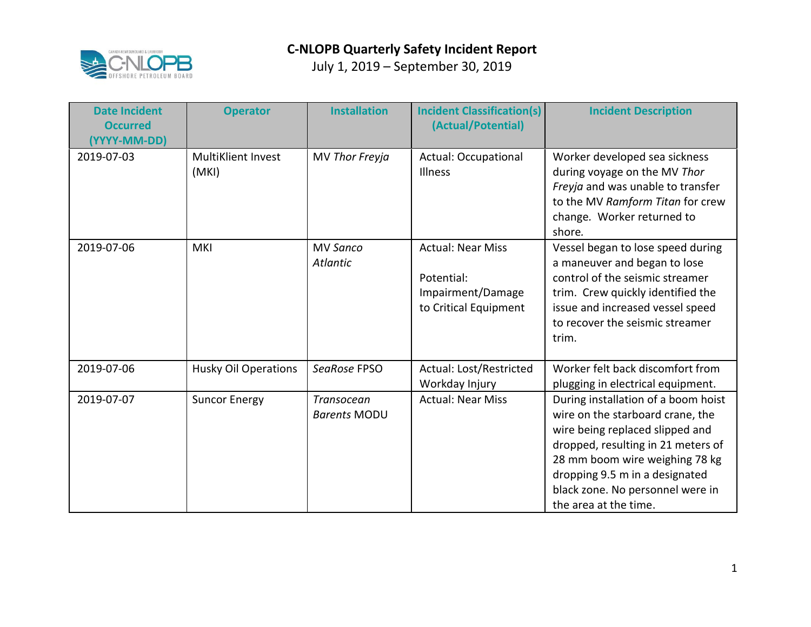

| <b>Date Incident</b><br><b>Occurred</b><br>(YYYY-MM-DD) | <b>Operator</b>                    | <b>Installation</b>                      | <b>Incident Classification(s)</b><br>(Actual/Potential)                              | <b>Incident Description</b>                                                                                                                                                                                                                                                       |
|---------------------------------------------------------|------------------------------------|------------------------------------------|--------------------------------------------------------------------------------------|-----------------------------------------------------------------------------------------------------------------------------------------------------------------------------------------------------------------------------------------------------------------------------------|
| 2019-07-03                                              | <b>MultiKlient Invest</b><br>(MKI) | MV Thor Freyja                           | <b>Actual: Occupational</b><br>Illness                                               | Worker developed sea sickness<br>during voyage on the MV Thor<br>Freyja and was unable to transfer<br>to the MV Ramform Titan for crew<br>change. Worker returned to<br>shore.                                                                                                    |
| 2019-07-06                                              | <b>MKI</b>                         | <b>MV Sanco</b><br>Atlantic              | <b>Actual: Near Miss</b><br>Potential:<br>Impairment/Damage<br>to Critical Equipment | Vessel began to lose speed during<br>a maneuver and began to lose<br>control of the seismic streamer<br>trim. Crew quickly identified the<br>issue and increased vessel speed<br>to recover the seismic streamer<br>trim.                                                         |
| 2019-07-06                                              | <b>Husky Oil Operations</b>        | SeaRose FPSO                             | Actual: Lost/Restricted<br>Workday Injury                                            | Worker felt back discomfort from<br>plugging in electrical equipment.                                                                                                                                                                                                             |
| 2019-07-07                                              | <b>Suncor Energy</b>               | <b>Transocean</b><br><b>Barents MODU</b> | <b>Actual: Near Miss</b>                                                             | During installation of a boom hoist<br>wire on the starboard crane, the<br>wire being replaced slipped and<br>dropped, resulting in 21 meters of<br>28 mm boom wire weighing 78 kg<br>dropping 9.5 m in a designated<br>black zone. No personnel were in<br>the area at the time. |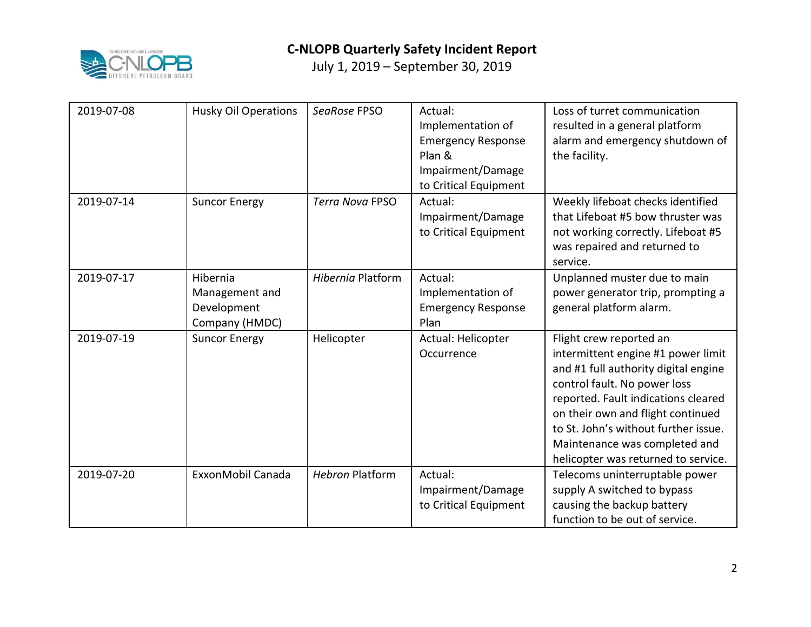

| 2019-07-08 | <b>Husky Oil Operations</b>                                 | SeaRose FPSO           | Actual:<br>Implementation of<br><b>Emergency Response</b><br>Plan &<br>Impairment/Damage<br>to Critical Equipment | Loss of turret communication<br>resulted in a general platform<br>alarm and emergency shutdown of<br>the facility.                                                                                                                                                                                                                |
|------------|-------------------------------------------------------------|------------------------|-------------------------------------------------------------------------------------------------------------------|-----------------------------------------------------------------------------------------------------------------------------------------------------------------------------------------------------------------------------------------------------------------------------------------------------------------------------------|
| 2019-07-14 | <b>Suncor Energy</b>                                        | <b>Terra Nova FPSO</b> | Actual:<br>Impairment/Damage<br>to Critical Equipment                                                             | Weekly lifeboat checks identified<br>that Lifeboat #5 bow thruster was<br>not working correctly. Lifeboat #5<br>was repaired and returned to<br>service.                                                                                                                                                                          |
| 2019-07-17 | Hibernia<br>Management and<br>Development<br>Company (HMDC) | Hibernia Platform      | Actual:<br>Implementation of<br><b>Emergency Response</b><br>Plan                                                 | Unplanned muster due to main<br>power generator trip, prompting a<br>general platform alarm.                                                                                                                                                                                                                                      |
| 2019-07-19 | <b>Suncor Energy</b>                                        | Helicopter             | Actual: Helicopter<br>Occurrence                                                                                  | Flight crew reported an<br>intermittent engine #1 power limit<br>and #1 full authority digital engine<br>control fault. No power loss<br>reported. Fault indications cleared<br>on their own and flight continued<br>to St. John's without further issue.<br>Maintenance was completed and<br>helicopter was returned to service. |
| 2019-07-20 | ExxonMobil Canada                                           | <b>Hebron Platform</b> | Actual:<br>Impairment/Damage<br>to Critical Equipment                                                             | Telecoms uninterruptable power<br>supply A switched to bypass<br>causing the backup battery<br>function to be out of service.                                                                                                                                                                                                     |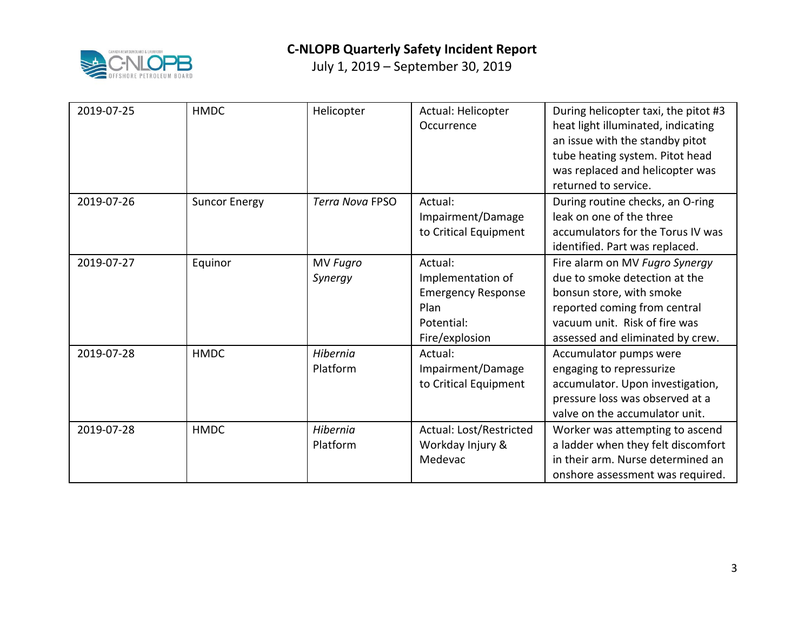

| 2019-07-25 | <b>HMDC</b>          | Helicopter                 | Actual: Helicopter<br>Occurrence                                                                  | During helicopter taxi, the pitot #3<br>heat light illuminated, indicating<br>an issue with the standby pitot<br>tube heating system. Pitot head<br>was replaced and helicopter was<br>returned to service. |
|------------|----------------------|----------------------------|---------------------------------------------------------------------------------------------------|-------------------------------------------------------------------------------------------------------------------------------------------------------------------------------------------------------------|
| 2019-07-26 | <b>Suncor Energy</b> | <b>Terra Nova FPSO</b>     | Actual:<br>Impairment/Damage<br>to Critical Equipment                                             | During routine checks, an O-ring<br>leak on one of the three<br>accumulators for the Torus IV was<br>identified. Part was replaced.                                                                         |
| 2019-07-27 | Equinor              | <b>MV Fugro</b><br>Synergy | Actual:<br>Implementation of<br><b>Emergency Response</b><br>Plan<br>Potential:<br>Fire/explosion | Fire alarm on MV Fugro Synergy<br>due to smoke detection at the<br>bonsun store, with smoke<br>reported coming from central<br>vacuum unit. Risk of fire was<br>assessed and eliminated by crew.            |
| 2019-07-28 | <b>HMDC</b>          | Hibernia<br>Platform       | Actual:<br>Impairment/Damage<br>to Critical Equipment                                             | Accumulator pumps were<br>engaging to repressurize<br>accumulator. Upon investigation,<br>pressure loss was observed at a<br>valve on the accumulator unit.                                                 |
| 2019-07-28 | <b>HMDC</b>          | Hibernia<br>Platform       | Actual: Lost/Restricted<br>Workday Injury &<br>Medevac                                            | Worker was attempting to ascend<br>a ladder when they felt discomfort<br>in their arm. Nurse determined an<br>onshore assessment was required.                                                              |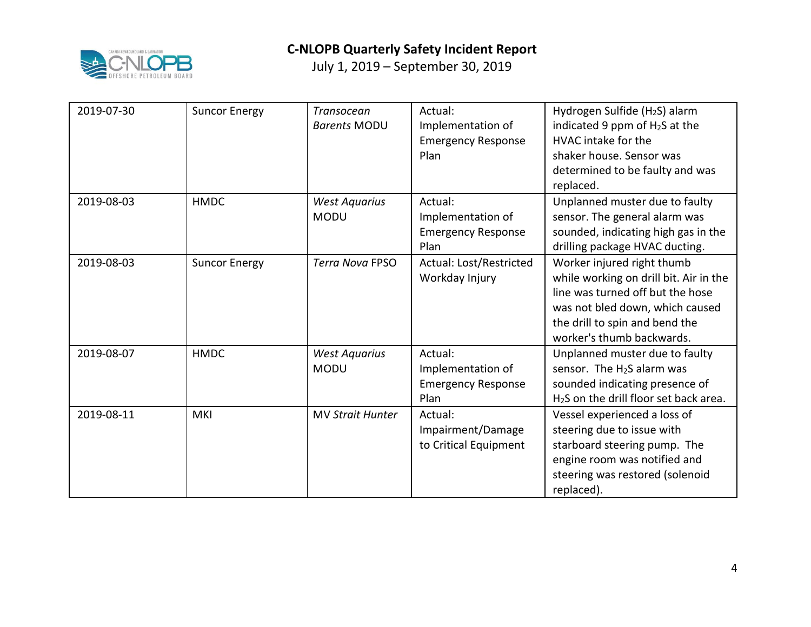

| 2019-07-30 | <b>Suncor Energy</b> | <b>Transocean</b><br><b>Barents MODU</b> | Actual:<br>Implementation of<br><b>Emergency Response</b><br>Plan | Hydrogen Sulfide (H <sub>2</sub> S) alarm<br>indicated 9 ppm of $H_2S$ at the<br>HVAC intake for the<br>shaker house. Sensor was<br>determined to be faulty and was<br>replaced.                           |
|------------|----------------------|------------------------------------------|-------------------------------------------------------------------|------------------------------------------------------------------------------------------------------------------------------------------------------------------------------------------------------------|
| 2019-08-03 | <b>HMDC</b>          | <b>West Aquarius</b><br><b>MODU</b>      | Actual:<br>Implementation of<br><b>Emergency Response</b><br>Plan | Unplanned muster due to faulty<br>sensor. The general alarm was<br>sounded, indicating high gas in the<br>drilling package HVAC ducting.                                                                   |
| 2019-08-03 | <b>Suncor Energy</b> | <b>Terra Nova FPSO</b>                   | Actual: Lost/Restricted<br>Workday Injury                         | Worker injured right thumb<br>while working on drill bit. Air in the<br>line was turned off but the hose<br>was not bled down, which caused<br>the drill to spin and bend the<br>worker's thumb backwards. |
| 2019-08-07 | <b>HMDC</b>          | <b>West Aquarius</b><br><b>MODU</b>      | Actual:<br>Implementation of<br><b>Emergency Response</b><br>Plan | Unplanned muster due to faulty<br>sensor. The H <sub>2</sub> S alarm was<br>sounded indicating presence of<br>H <sub>2</sub> S on the drill floor set back area.                                           |
| 2019-08-11 | <b>MKI</b>           | <b>MV Strait Hunter</b>                  | Actual:<br>Impairment/Damage<br>to Critical Equipment             | Vessel experienced a loss of<br>steering due to issue with<br>starboard steering pump. The<br>engine room was notified and<br>steering was restored (solenoid<br>replaced).                                |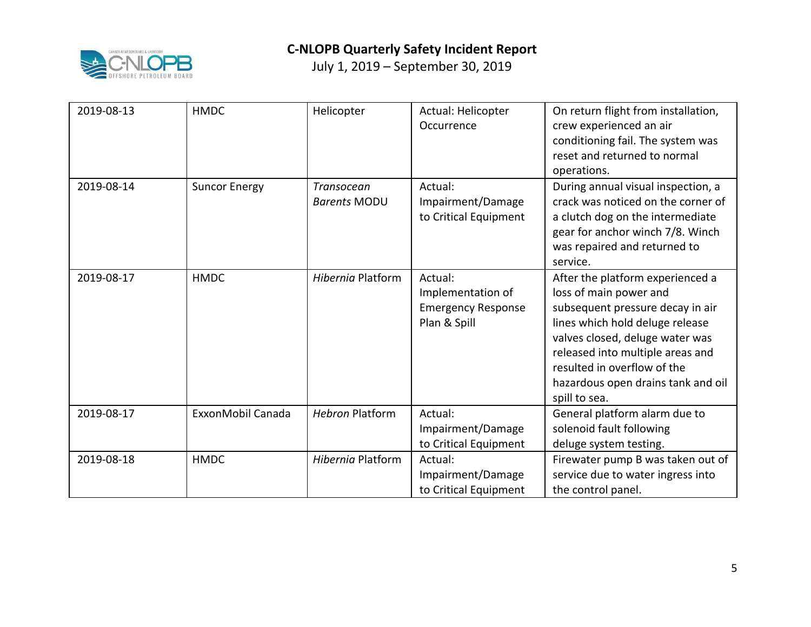

| 2019-08-13 | <b>HMDC</b>          | Helicopter                        | Actual: Helicopter<br>Occurrence                                          | On return flight from installation,<br>crew experienced an air<br>conditioning fail. The system was<br>reset and returned to normal<br>operations.                                                                                                                                             |
|------------|----------------------|-----------------------------------|---------------------------------------------------------------------------|------------------------------------------------------------------------------------------------------------------------------------------------------------------------------------------------------------------------------------------------------------------------------------------------|
| 2019-08-14 | <b>Suncor Energy</b> | Transocean<br><b>Barents MODU</b> | Actual:<br>Impairment/Damage<br>to Critical Equipment                     | During annual visual inspection, a<br>crack was noticed on the corner of<br>a clutch dog on the intermediate<br>gear for anchor winch 7/8. Winch<br>was repaired and returned to<br>service.                                                                                                   |
| 2019-08-17 | <b>HMDC</b>          | <b>Hibernia Platform</b>          | Actual:<br>Implementation of<br><b>Emergency Response</b><br>Plan & Spill | After the platform experienced a<br>loss of main power and<br>subsequent pressure decay in air<br>lines which hold deluge release<br>valves closed, deluge water was<br>released into multiple areas and<br>resulted in overflow of the<br>hazardous open drains tank and oil<br>spill to sea. |
| 2019-08-17 | ExxonMobil Canada    | <b>Hebron Platform</b>            | Actual:<br>Impairment/Damage<br>to Critical Equipment                     | General platform alarm due to<br>solenoid fault following<br>deluge system testing.                                                                                                                                                                                                            |
| 2019-08-18 | <b>HMDC</b>          | Hibernia Platform                 | Actual:<br>Impairment/Damage<br>to Critical Equipment                     | Firewater pump B was taken out of<br>service due to water ingress into<br>the control panel.                                                                                                                                                                                                   |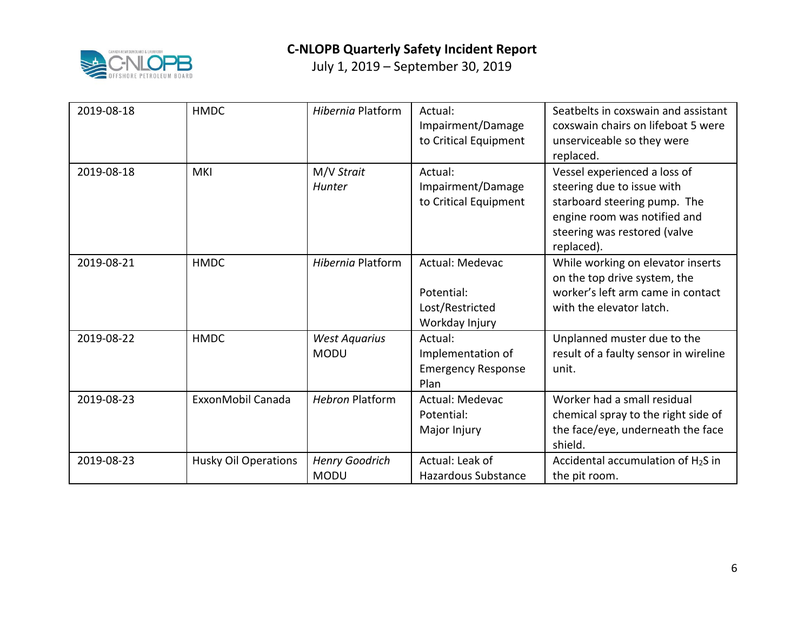

| 2019-08-18 | <b>HMDC</b>                 | Hibernia Platform                    | Actual:<br>Impairment/Damage<br>to Critical Equipment              | Seatbelts in coxswain and assistant<br>coxswain chairs on lifeboat 5 were<br>unserviceable so they were<br>replaced.                                                     |
|------------|-----------------------------|--------------------------------------|--------------------------------------------------------------------|--------------------------------------------------------------------------------------------------------------------------------------------------------------------------|
| 2019-08-18 | <b>MKI</b>                  | M/V Strait<br>Hunter                 | Actual:<br>Impairment/Damage<br>to Critical Equipment              | Vessel experienced a loss of<br>steering due to issue with<br>starboard steering pump. The<br>engine room was notified and<br>steering was restored (valve<br>replaced). |
| 2019-08-21 | <b>HMDC</b>                 | Hibernia Platform                    | Actual: Medevac<br>Potential:<br>Lost/Restricted<br>Workday Injury | While working on elevator inserts<br>on the top drive system, the<br>worker's left arm came in contact<br>with the elevator latch.                                       |
| 2019-08-22 | <b>HMDC</b>                 | <b>West Aquarius</b><br><b>MODU</b>  | Actual:<br>Implementation of<br><b>Emergency Response</b><br>Plan  | Unplanned muster due to the<br>result of a faulty sensor in wireline<br>unit.                                                                                            |
| 2019-08-23 | ExxonMobil Canada           | <b>Hebron Platform</b>               | Actual: Medevac<br>Potential:<br>Major Injury                      | Worker had a small residual<br>chemical spray to the right side of<br>the face/eye, underneath the face<br>shield.                                                       |
| 2019-08-23 | <b>Husky Oil Operations</b> | <b>Henry Goodrich</b><br><b>MODU</b> | Actual: Leak of<br><b>Hazardous Substance</b>                      | Accidental accumulation of $H_2S$ in<br>the pit room.                                                                                                                    |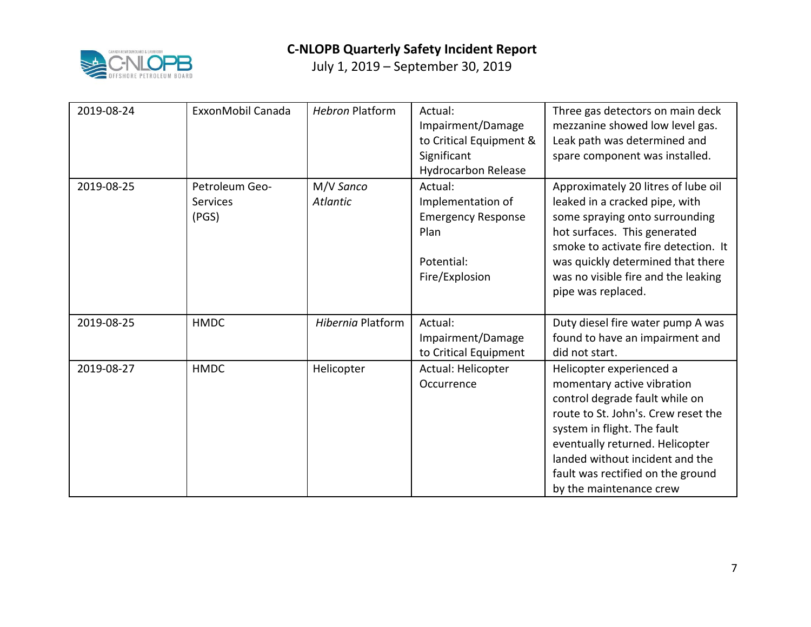

| 2019-08-24 | ExxonMobil Canada                          | <b>Hebron Platform</b>       | Actual:<br>Impairment/Damage<br>to Critical Equipment &<br>Significant<br><b>Hydrocarbon Release</b> | Three gas detectors on main deck<br>mezzanine showed low level gas.<br>Leak path was determined and<br>spare component was installed.                                                                                                                                                                |
|------------|--------------------------------------------|------------------------------|------------------------------------------------------------------------------------------------------|------------------------------------------------------------------------------------------------------------------------------------------------------------------------------------------------------------------------------------------------------------------------------------------------------|
| 2019-08-25 | Petroleum Geo-<br><b>Services</b><br>(PGS) | M/V Sanco<br><b>Atlantic</b> | Actual:<br>Implementation of<br><b>Emergency Response</b><br>Plan<br>Potential:<br>Fire/Explosion    | Approximately 20 litres of lube oil<br>leaked in a cracked pipe, with<br>some spraying onto surrounding<br>hot surfaces. This generated<br>smoke to activate fire detection. It<br>was quickly determined that there<br>was no visible fire and the leaking<br>pipe was replaced.                    |
| 2019-08-25 | <b>HMDC</b>                                | Hibernia Platform            | Actual:<br>Impairment/Damage<br>to Critical Equipment                                                | Duty diesel fire water pump A was<br>found to have an impairment and<br>did not start.                                                                                                                                                                                                               |
| 2019-08-27 | <b>HMDC</b>                                | Helicopter                   | Actual: Helicopter<br>Occurrence                                                                     | Helicopter experienced a<br>momentary active vibration<br>control degrade fault while on<br>route to St. John's. Crew reset the<br>system in flight. The fault<br>eventually returned. Helicopter<br>landed without incident and the<br>fault was rectified on the ground<br>by the maintenance crew |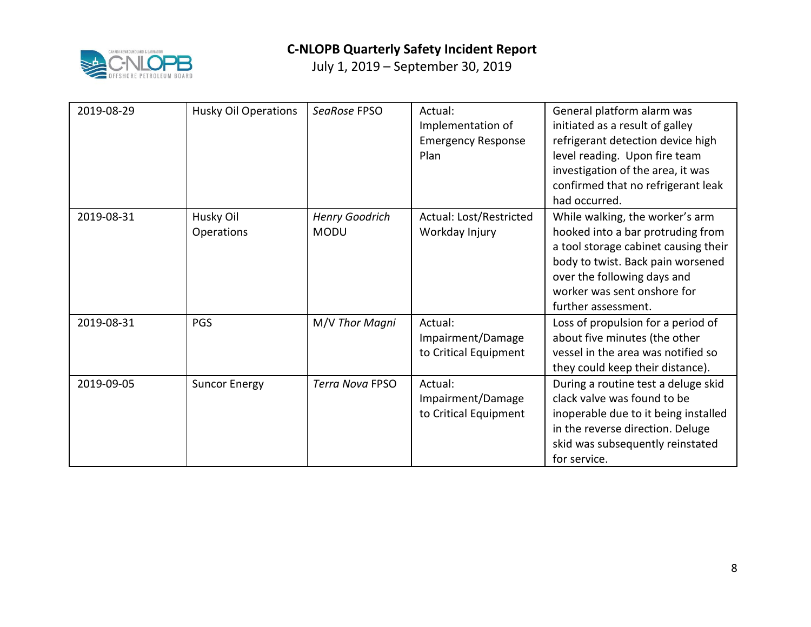

| 2019-08-29 | <b>Husky Oil Operations</b> | SeaRose FPSO                         | Actual:<br>Implementation of<br><b>Emergency Response</b><br>Plan | General platform alarm was<br>initiated as a result of galley<br>refrigerant detection device high<br>level reading. Upon fire team<br>investigation of the area, it was<br>confirmed that no refrigerant leak<br>had occurred.        |
|------------|-----------------------------|--------------------------------------|-------------------------------------------------------------------|----------------------------------------------------------------------------------------------------------------------------------------------------------------------------------------------------------------------------------------|
| 2019-08-31 | Husky Oil<br>Operations     | <b>Henry Goodrich</b><br><b>MODU</b> | Actual: Lost/Restricted<br>Workday Injury                         | While walking, the worker's arm<br>hooked into a bar protruding from<br>a tool storage cabinet causing their<br>body to twist. Back pain worsened<br>over the following days and<br>worker was sent onshore for<br>further assessment. |
| 2019-08-31 | PGS                         | M/V Thor Magni                       | Actual:<br>Impairment/Damage<br>to Critical Equipment             | Loss of propulsion for a period of<br>about five minutes (the other<br>vessel in the area was notified so<br>they could keep their distance).                                                                                          |
| 2019-09-05 | <b>Suncor Energy</b>        | <b>Terra Nova FPSO</b>               | Actual:<br>Impairment/Damage<br>to Critical Equipment             | During a routine test a deluge skid<br>clack valve was found to be<br>inoperable due to it being installed<br>in the reverse direction. Deluge<br>skid was subsequently reinstated<br>for service.                                     |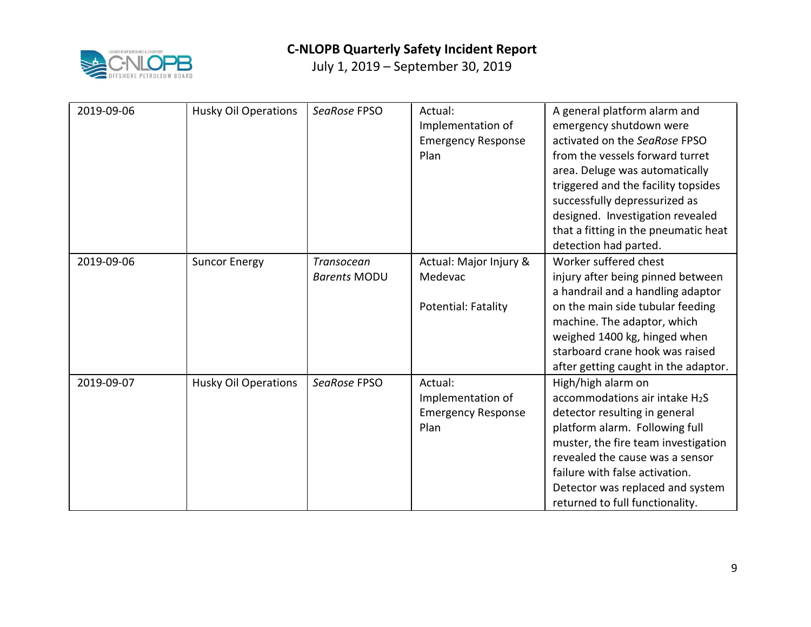

| 2019-09-06 | <b>Husky Oil Operations</b> | SeaRose FPSO        | Actual:<br>Implementation of<br><b>Emergency Response</b><br>Plan | A general platform alarm and<br>emergency shutdown were<br>activated on the SeaRose FPSO<br>from the vessels forward turret |
|------------|-----------------------------|---------------------|-------------------------------------------------------------------|-----------------------------------------------------------------------------------------------------------------------------|
|            |                             |                     |                                                                   | area. Deluge was automatically                                                                                              |
|            |                             |                     |                                                                   | triggered and the facility topsides<br>successfully depressurized as                                                        |
|            |                             |                     |                                                                   | designed. Investigation revealed                                                                                            |
|            |                             |                     |                                                                   | that a fitting in the pneumatic heat<br>detection had parted.                                                               |
| 2019-09-06 | <b>Suncor Energy</b>        | Transocean          | Actual: Major Injury &                                            | Worker suffered chest                                                                                                       |
|            |                             | <b>Barents MODU</b> | Medevac                                                           | injury after being pinned between                                                                                           |
|            |                             |                     |                                                                   | a handrail and a handling adaptor                                                                                           |
|            |                             |                     | Potential: Fatality                                               | on the main side tubular feeding                                                                                            |
|            |                             |                     |                                                                   | machine. The adaptor, which                                                                                                 |
|            |                             |                     |                                                                   | weighed 1400 kg, hinged when                                                                                                |
|            |                             |                     |                                                                   | starboard crane hook was raised                                                                                             |
|            |                             |                     |                                                                   | after getting caught in the adaptor.                                                                                        |
| 2019-09-07 | <b>Husky Oil Operations</b> | SeaRose FPSO        | Actual:                                                           | High/high alarm on                                                                                                          |
|            |                             |                     | Implementation of                                                 | accommodations air intake $H_2S$                                                                                            |
|            |                             |                     | <b>Emergency Response</b>                                         | detector resulting in general                                                                                               |
|            |                             |                     | Plan                                                              | platform alarm. Following full                                                                                              |
|            |                             |                     |                                                                   | muster, the fire team investigation                                                                                         |
|            |                             |                     |                                                                   | revealed the cause was a sensor                                                                                             |
|            |                             |                     |                                                                   | failure with false activation.                                                                                              |
|            |                             |                     |                                                                   | Detector was replaced and system<br>returned to full functionality.                                                         |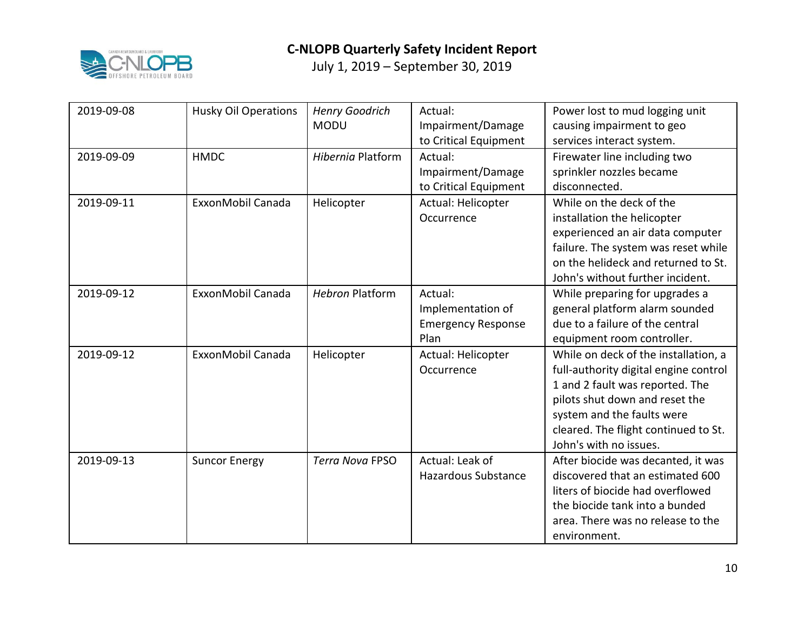

| 2019-09-08 | <b>Husky Oil Operations</b> | <b>Henry Goodrich</b><br><b>MODU</b> | Actual:<br>Impairment/Damage<br>to Critical Equipment             | Power lost to mud logging unit<br>causing impairment to geo<br>services interact system.                                                                                                                                                           |
|------------|-----------------------------|--------------------------------------|-------------------------------------------------------------------|----------------------------------------------------------------------------------------------------------------------------------------------------------------------------------------------------------------------------------------------------|
| 2019-09-09 | <b>HMDC</b>                 | Hibernia Platform                    | Actual:<br>Impairment/Damage<br>to Critical Equipment             | Firewater line including two<br>sprinkler nozzles became<br>disconnected.                                                                                                                                                                          |
| 2019-09-11 | ExxonMobil Canada           | Helicopter                           | Actual: Helicopter<br>Occurrence                                  | While on the deck of the<br>installation the helicopter<br>experienced an air data computer<br>failure. The system was reset while<br>on the helideck and returned to St.<br>John's without further incident.                                      |
| 2019-09-12 | ExxonMobil Canada           | <b>Hebron Platform</b>               | Actual:<br>Implementation of<br><b>Emergency Response</b><br>Plan | While preparing for upgrades a<br>general platform alarm sounded<br>due to a failure of the central<br>equipment room controller.                                                                                                                  |
| 2019-09-12 | ExxonMobil Canada           | Helicopter                           | Actual: Helicopter<br>Occurrence                                  | While on deck of the installation, a<br>full-authority digital engine control<br>1 and 2 fault was reported. The<br>pilots shut down and reset the<br>system and the faults were<br>cleared. The flight continued to St.<br>John's with no issues. |
| 2019-09-13 | <b>Suncor Energy</b>        | <b>Terra Nova FPSO</b>               | Actual: Leak of<br><b>Hazardous Substance</b>                     | After biocide was decanted, it was<br>discovered that an estimated 600<br>liters of biocide had overflowed<br>the biocide tank into a bunded<br>area. There was no release to the<br>environment.                                                  |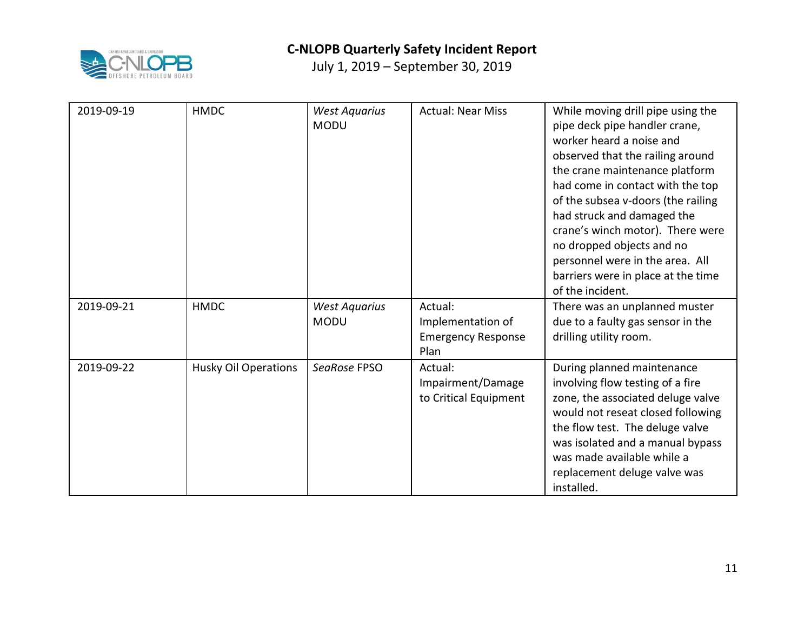

| 2019-09-19 | <b>HMDC</b>                 | <b>West Aquarius</b><br><b>MODU</b> | <b>Actual: Near Miss</b>                                          | While moving drill pipe using the<br>pipe deck pipe handler crane,<br>worker heard a noise and<br>observed that the railing around<br>the crane maintenance platform<br>had come in contact with the top<br>of the subsea v-doors (the railing<br>had struck and damaged the<br>crane's winch motor). There were<br>no dropped objects and no<br>personnel were in the area. All<br>barriers were in place at the time<br>of the incident. |
|------------|-----------------------------|-------------------------------------|-------------------------------------------------------------------|--------------------------------------------------------------------------------------------------------------------------------------------------------------------------------------------------------------------------------------------------------------------------------------------------------------------------------------------------------------------------------------------------------------------------------------------|
| 2019-09-21 | <b>HMDC</b>                 | <b>West Aquarius</b><br><b>MODU</b> | Actual:<br>Implementation of<br><b>Emergency Response</b><br>Plan | There was an unplanned muster<br>due to a faulty gas sensor in the<br>drilling utility room.                                                                                                                                                                                                                                                                                                                                               |
| 2019-09-22 | <b>Husky Oil Operations</b> | SeaRose FPSO                        | Actual:<br>Impairment/Damage<br>to Critical Equipment             | During planned maintenance<br>involving flow testing of a fire<br>zone, the associated deluge valve<br>would not reseat closed following<br>the flow test. The deluge valve<br>was isolated and a manual bypass<br>was made available while a<br>replacement deluge valve was<br>installed.                                                                                                                                                |